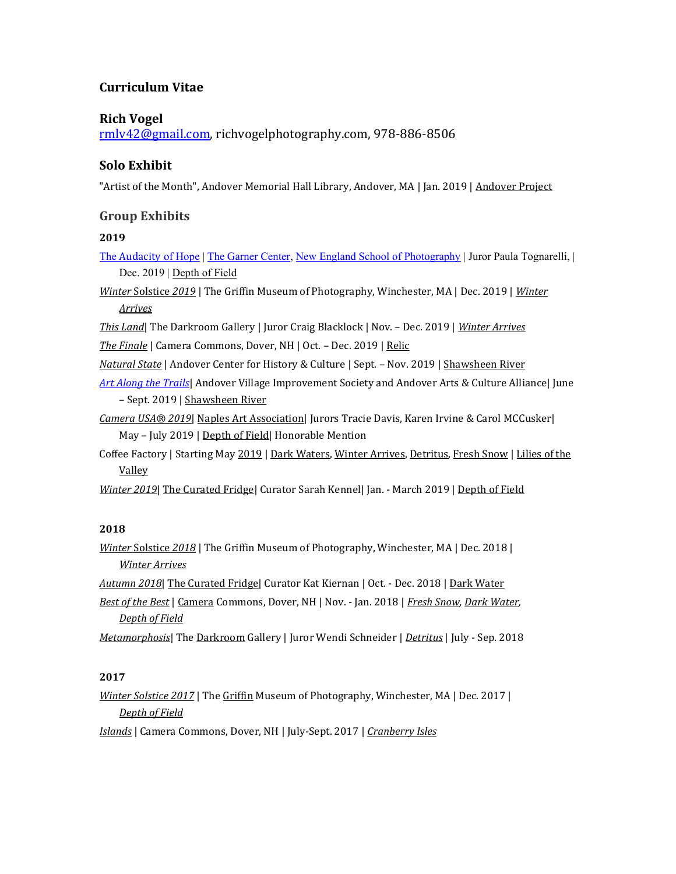## **Curriculum Vitae**

#### **Rich Vogel**

[rmlv42@gmail.com,](mailto:rmlv42@gmail.com) richvogelphotography.com, 978-886-8506

## **Solo Exhibit**

"Artist of the Month", Andover Memorial Hall Library, Andover, MA | Jan. 2019 | Andover Project

### **Group Exhibits**

#### **2019**

The [Audacity](https://www.nesop.edu/events/the-garner-center/) of Hope | [The Garner Center,](https://www.nesop.edu/events/the-garner-center/) [New England School of Photography](https://www.nesop.edu/) | Juror Paula Tognarelli, | Dec. 2019 | Depth of Field

*Winter* Solstice *2019* | The Griffin Museum of Photography, Winchester, MA | Dec. 2019 | *Winter Arrives*

*This Land*| The Darkroom Gallery | Juror Craig Blacklock | Nov. – Dec. 2019 | *Winter Arrives*

*The Finale* | Camera Commons, Dover, NH | Oct. – Dec. 2019 | Relic

- *Natural State* | Andover Center for History & Culture | Sept. Nov. 2019 | Shawsheen River
- *[Art Along the Trails](http://avisandover.org/art.html)*| Andover Village Improvement Society and Andover Arts & Culture Alliance| June – Sept. 2019 | Shawsheen River
- *Camera USA® 2019*| Naples Art Association| Jurors Tracie Davis, Karen Irvine & Carol MCCusker| May - July 2019 | Depth of Field | Honorable Mention
- Coffee Factory | Starting May 2019 | Dark Waters, Winter Arrives, Detritus, Fresh Snow | Lilies of the Valley

*Winter 2019*| The Curated Fridge| Curator Sarah Kennel| Jan. - March 2019 | Depth of Field

#### **2018**

*Winter* Solstice *2018* | The Griffin Museum of Photography, Winchester, MA | Dec. 2018 | *Winter Arrives*

*Autumn 2018*| The Curated Fridge| Curator Kat Kiernan | Oct. - Dec. 2018 | Dark Water

*Best of the Best* | Camera Commons, Dover, NH | Nov. - Jan. 2018 | *Fresh Snow, Dark Water, Depth of Field*

*Metamorphosis*| The Darkroom Gallery | Juror Wendi Schneider | *Detritus* | July - Sep. 2018

#### **2017**

*Winter Solstice 2017* | The Griffin Museum of Photography, Winchester, MA | Dec. 2017 | *Depth of Field*

*Islands* | Camera Commons, Dover, NH | July-Sept. 2017 | *Cranberry Isles*